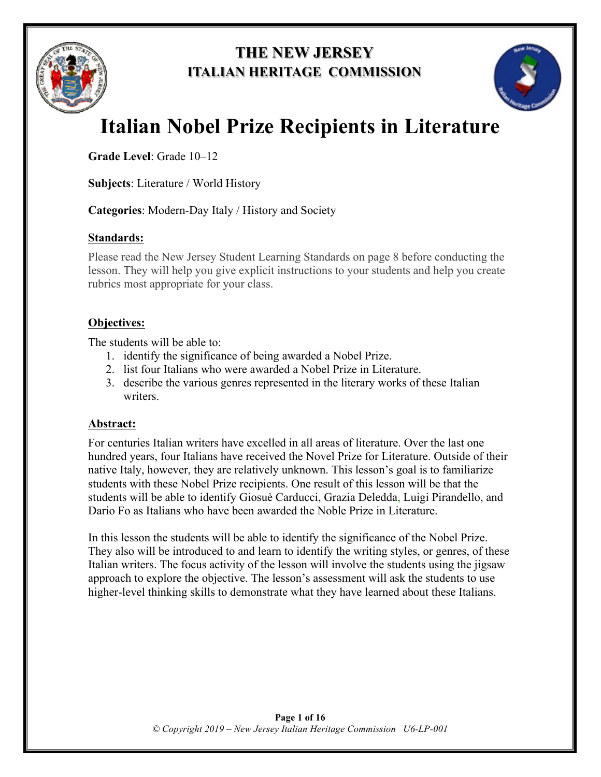

## **THE NEW JERSEY ITALIAN HERITAGE COMMISSION**



# **Italian Nobel Prize Recipients in Literature**

**Grade Level**: Grade 10–12

**Subjects**: Literature / World History

**Categories**: Modern-Day Italy / History and Society

### **Standards:**

Please read the New Jersey Student Learning Standards on page 8 before conducting the lesson. They will help you give explicit instructions to your students and help you create rubrics most appropriate for your class.

### **Objectives:**

The students will be able to:

- 1. identify the significance of being awarded a Nobel Prize.
- 2. list four Italians who were awarded a Nobel Prize in Literature.
- 3. describe the various genres represented in the literary works of these Italian writers.

### **Abstract:**

For centuries Italian writers have excelled in all areas of literature. Over the last one hundred years, four Italians have received the Novel Prize for Literature. Outside of their native Italy, however, they are relatively unknown. This lesson's goal is to familiarize students with these Nobel Prize recipients. One result of this lesson will be that the students will be able to identify Giosuè Carducci, Grazia Deledda, Luigi Pirandello, and Dario Fo as Italians who have been awarded the Noble Prize in Literature.

In this lesson the students will be able to identify the significance of the Nobel Prize. They also will be introduced to and learn to identify the writing styles, or genres, of these Italian writers. The focus activity of the lesson will involve the students using the jigsaw approach to explore the objective. The lesson's assessment will ask the students to use higher-level thinking skills to demonstrate what they have learned about these Italians.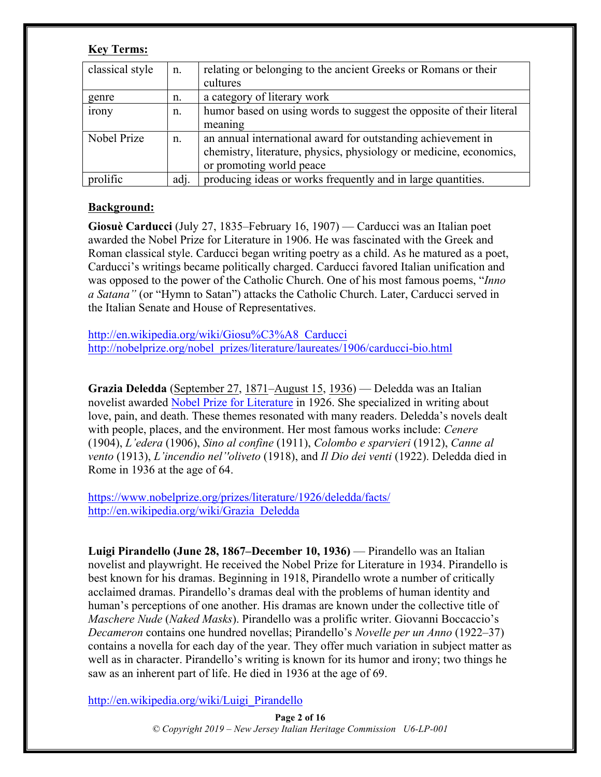#### **Key Terms:**

| classical style | $n_{\cdot}$ | relating or belonging to the ancient Greeks or Romans or their<br>cultures |
|-----------------|-------------|----------------------------------------------------------------------------|
| genre           | n.          | a category of literary work                                                |
| irony           | n.          | humor based on using words to suggest the opposite of their literal        |
|                 |             | meaning                                                                    |
| Nobel Prize     | n.          | an annual international award for outstanding achievement in               |
|                 |             | chemistry, literature, physics, physiology or medicine, economics,         |
|                 |             | or promoting world peace                                                   |
| prolific        | adj.        | producing ideas or works frequently and in large quantities.               |

#### **Background:**

**Giosuè Carducci** (July 27, 1835–February 16, 1907) — Carducci was an Italian poet awarded the Nobel Prize for Literature in 1906. He was fascinated with the Greek and Roman classical style. Carducci began writing poetry as a child. As he matured as a poet, Carducci's writings became politically charged. Carducci favored Italian unification and was opposed to the power of the Catholic Church. One of his most famous poems, "*Inno a Satana"* (or "Hymn to Satan") attacks the Catholic Church. Later, Carducci served in the Italian Senate and House of Representatives.

http://en.wikipedia.org/wiki/Giosu%C3%A8\_Carducci http://nobelprize.org/nobel\_prizes/literature/laureates/1906/carducci-bio.html

**Grazia Deledda** (September 27, 1871–August 15, 1936) — Deledda was an Italian novelist awarded Nobel Prize for Literature in 1926. She specialized in writing about love, pain, and death. These themes resonated with many readers. Deledda's novels dealt with people, places, and the environment. Her most famous works include: *Cenere* (1904), *L'edera* (1906), *Sino al confine* (1911), *Colombo e sparvieri* (1912), *Canne al vento* (1913), *L'incendio nel''oliveto* (1918), and *Il Dio dei venti* (1922). Deledda died in Rome in 1936 at the age of 64.

https://www.nobelprize.org/prizes/literature/1926/deledda/facts/ http://en.wikipedia.org/wiki/Grazia\_Deledda

**Luigi Pirandello (June 28, 1867–December 10, 1936)** — Pirandello was an Italian novelist and playwright. He received the Nobel Prize for Literature in 1934. Pirandello is best known for his dramas. Beginning in 1918, Pirandello wrote a number of critically acclaimed dramas. Pirandello's dramas deal with the problems of human identity and human's perceptions of one another. His dramas are known under the collective title of *Maschere Nude* (*Naked Masks*). Pirandello was a prolific writer. Giovanni Boccaccio's *Decameron* contains one hundred novellas; Pirandello's *Novelle per un Anno* (1922–37) contains a novella for each day of the year. They offer much variation in subject matter as well as in character. Pirandello's writing is known for its humor and irony; two things he saw as an inherent part of life. He died in 1936 at the age of 69.

http://en.wikipedia.org/wiki/Luigi\_Pirandello

**Page 2 of 16** *© Copyright 2019 – New Jersey Italian Heritage Commission U6-LP-001*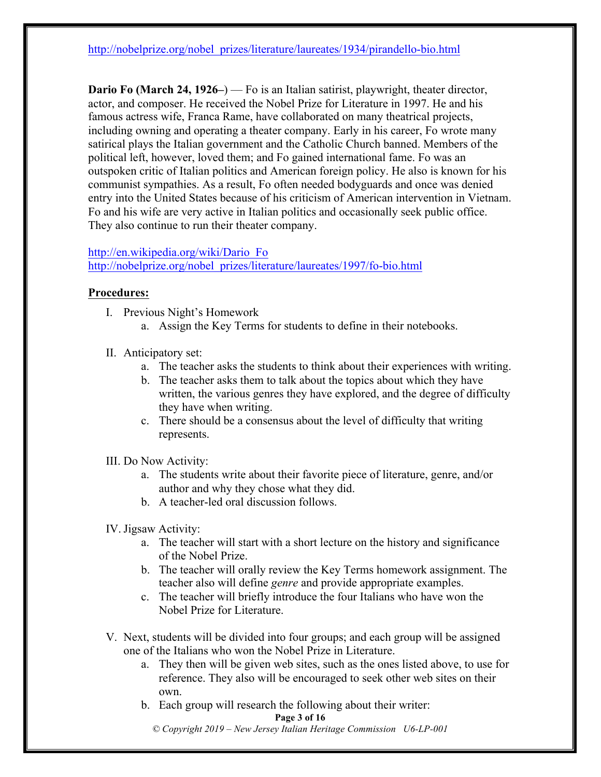http://nobelprize.org/nobel\_prizes/literature/laureates/1934/pirandello-bio.html

**Dario Fo (March 24, 1926–)** — Fo is an Italian satirist, playwright, theater director, actor, and composer. He received the Nobel Prize for Literature in 1997. He and his famous actress wife, Franca Rame, have collaborated on many theatrical projects, including owning and operating a theater company. Early in his career, Fo wrote many satirical plays the Italian government and the Catholic Church banned. Members of the political left, however, loved them; and Fo gained international fame. Fo was an outspoken critic of Italian politics and American foreign policy. He also is known for his communist sympathies. As a result, Fo often needed bodyguards and once was denied entry into the United States because of his criticism of American intervention in Vietnam. Fo and his wife are very active in Italian politics and occasionally seek public office. They also continue to run their theater company.

#### http://en.wikipedia.org/wiki/Dario\_Fo

http://nobelprize.org/nobel\_prizes/literature/laureates/1997/fo-bio.html

#### **Procedures:**

- I. Previous Night's Homework
	- a. Assign the Key Terms for students to define in their notebooks.
- II. Anticipatory set:
	- a. The teacher asks the students to think about their experiences with writing.
	- b. The teacher asks them to talk about the topics about which they have written, the various genres they have explored, and the degree of difficulty they have when writing.
	- c. There should be a consensus about the level of difficulty that writing represents.
- III. Do Now Activity:
	- a. The students write about their favorite piece of literature, genre, and/or author and why they chose what they did.
	- b. A teacher-led oral discussion follows.
- IV. Jigsaw Activity:
	- a. The teacher will start with a short lecture on the history and significance of the Nobel Prize.
	- b. The teacher will orally review the Key Terms homework assignment. The teacher also will define *genre* and provide appropriate examples.
	- c. The teacher will briefly introduce the four Italians who have won the Nobel Prize for Literature.
- V. Next, students will be divided into four groups; and each group will be assigned one of the Italians who won the Nobel Prize in Literature.
	- a. They then will be given web sites, such as the ones listed above, to use for reference. They also will be encouraged to seek other web sites on their own.
	- b. Each group will research the following about their writer:

#### **Page 3 of 16**

*© Copyright 2019 – New Jersey Italian Heritage Commission U6-LP-001*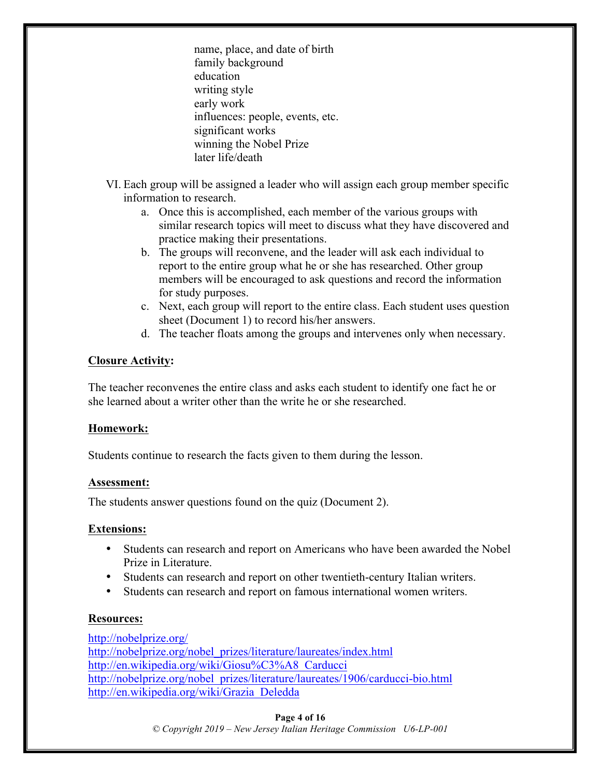name, place, and date of birth family background education writing style early work influences: people, events, etc. significant works winning the Nobel Prize later life/death

- VI. Each group will be assigned a leader who will assign each group member specific information to research.
	- a. Once this is accomplished, each member of the various groups with similar research topics will meet to discuss what they have discovered and practice making their presentations.
	- b. The groups will reconvene, and the leader will ask each individual to report to the entire group what he or she has researched. Other group members will be encouraged to ask questions and record the information for study purposes.
	- c. Next, each group will report to the entire class. Each student uses question sheet (Document 1) to record his/her answers.
	- d. The teacher floats among the groups and intervenes only when necessary.

#### **Closure Activity:**

The teacher reconvenes the entire class and asks each student to identify one fact he or she learned about a writer other than the write he or she researched.

#### **Homework:**

Students continue to research the facts given to them during the lesson.

#### **Assessment:**

The students answer questions found on the quiz (Document 2).

#### **Extensions:**

- Students can research and report on Americans who have been awarded the Nobel Prize in Literature.
- Students can research and report on other twentieth-century Italian writers.
- Students can research and report on famous international women writers.

#### **Resources:**

http://nobelprize.org/ http://nobelprize.org/nobel\_prizes/literature/laureates/index.html http://en.wikipedia.org/wiki/Giosu%C3%A8\_Carducci http://nobelprize.org/nobel\_prizes/literature/laureates/1906/carducci-bio.html http://en.wikipedia.org/wiki/Grazia\_Deledda

#### **Page 4 of 16**

*© Copyright 2019 – New Jersey Italian Heritage Commission U6-LP-001*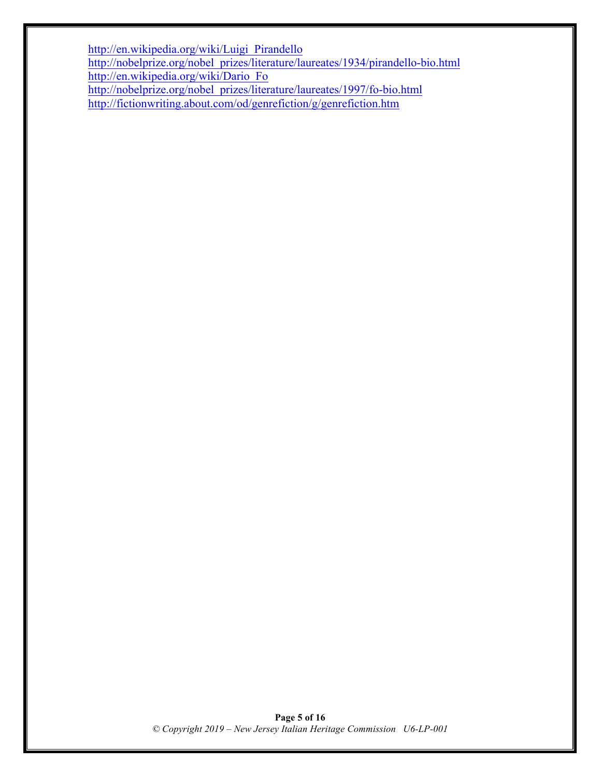http://en.wikipedia.org/wiki/Luigi\_Pirandello http://nobelprize.org/nobel\_prizes/literature/laureates/1934/pirandello-bio.html http://en.wikipedia.org/wiki/Dario\_Fo http://nobelprize.org/nobel\_prizes/literature/laureates/1997/fo-bio.html http://fictionwriting.about.com/od/genrefiction/g/genrefiction.htm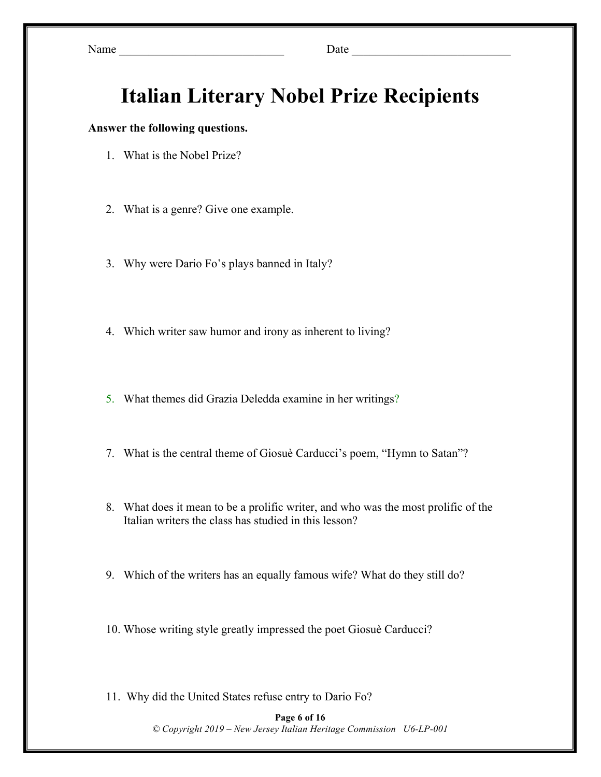Name \_\_\_\_\_\_\_\_\_\_\_\_\_\_\_\_\_\_\_\_\_\_\_\_\_\_\_\_ Date \_\_\_\_\_\_\_\_\_\_\_\_\_\_\_\_\_\_\_\_\_\_\_\_\_\_\_

## **Italian Literary Nobel Prize Recipients**

#### **Answer the following questions.**

- 1. What is the Nobel Prize?
- 2. What is a genre? Give one example.
- 3. Why were Dario Fo's plays banned in Italy?
- 4. Which writer saw humor and irony as inherent to living?
- 5. What themes did Grazia Deledda examine in her writings?
- 7. What is the central theme of Giosuè Carducci's poem, "Hymn to Satan"?
- 8. What does it mean to be a prolific writer, and who was the most prolific of the Italian writers the class has studied in this lesson?
- 9. Which of the writers has an equally famous wife? What do they still do?
- 10. Whose writing style greatly impressed the poet Giosuè Carducci?
- 11. Why did the United States refuse entry to Dario Fo?

#### **Page 6 of 16** *© Copyright 2019 – New Jersey Italian Heritage Commission U6-LP-001*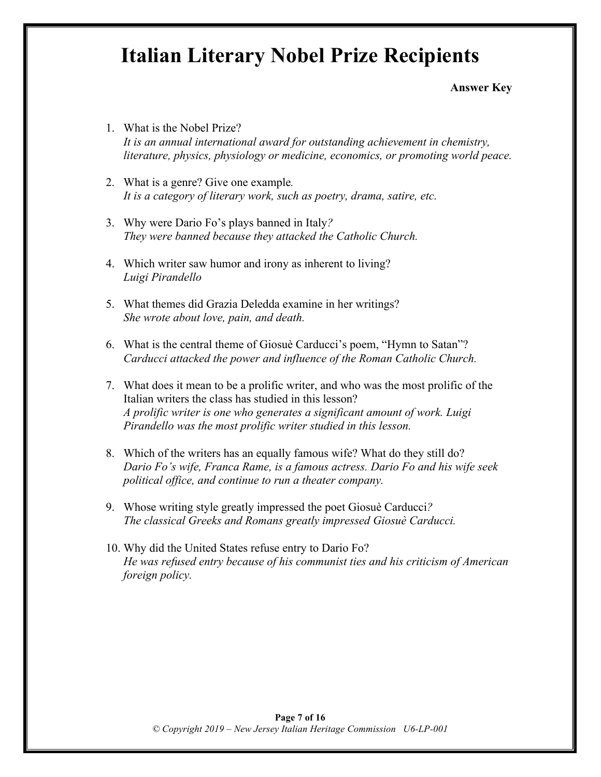## **Italian Literary Nobel Prize Recipients**

**Answer Key**

- 1. What is the Nobel Prize? *It is an annual international award for outstanding achievement in chemistry, literature, physics, physiology or medicine, economics, or promoting world peace.*
- 2. What is a genre? Give one example*. It is a category of literary work, such as poetry, drama, satire, etc.*
- 3. Why were Dario Fo's plays banned in Italy*? They were banned because they attacked the Catholic Church.*
- 4. Which writer saw humor and irony as inherent to living? *Luigi Pirandello*
- 5. What themes did Grazia Deledda examine in her writings? *She wrote about love, pain, and death.*
- 6. What is the central theme of Giosuè Carducci's poem, "Hymn to Satan"? *Carducci attacked the power and influence of the Roman Catholic Church.*
- 7. What does it mean to be a prolific writer, and who was the most prolific of the Italian writers the class has studied in this lesson? *A prolific writer is one who generates a significant amount of work. Luigi Pirandello was the most prolific writer studied in this lesson.*
- 8. Which of the writers has an equally famous wife? What do they still do? *Dario Fo's wife, Franca Rame, is a famous actress. Dario Fo and his wife seek political office, and continue to run a theater company.*
- 9. Whose writing style greatly impressed the poet Giosuè Carducci*? The classical Greeks and Romans greatly impressed Giosuè Carducci.*
- 10. Why did the United States refuse entry to Dario Fo? *He was refused entry because of his communist ties and his criticism of American foreign policy.*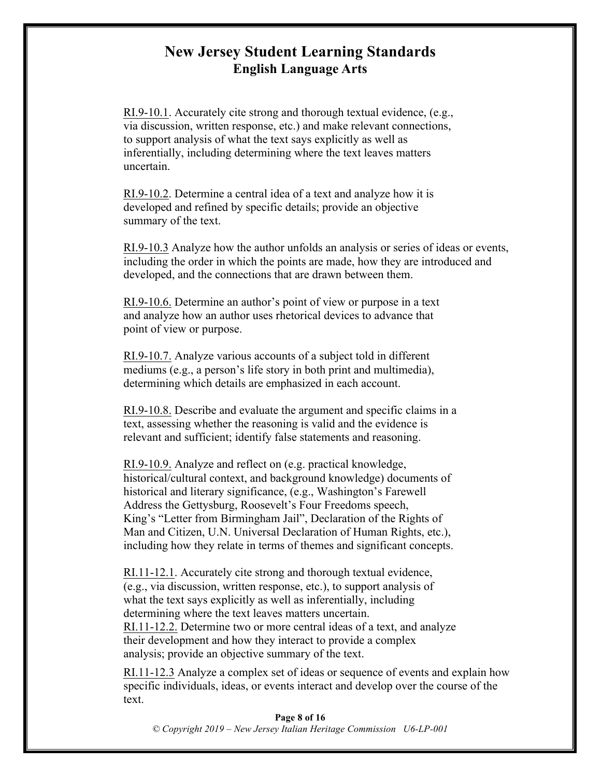## **New Jersey Student Learning Standards English Language Arts**

RI.9-10.1. Accurately cite strong and thorough textual evidence, (e.g., via discussion, written response, etc.) and make relevant connections, to support analysis of what the text says explicitly as well as inferentially, including determining where the text leaves matters uncertain.

RI.9-10.2. Determine a central idea of a text and analyze how it is developed and refined by specific details; provide an objective summary of the text.

RI.9-10.3 Analyze how the author unfolds an analysis or series of ideas or events, including the order in which the points are made, how they are introduced and developed, and the connections that are drawn between them.

RI.9-10.6. Determine an author's point of view or purpose in a text and analyze how an author uses rhetorical devices to advance that point of view or purpose.

RI.9-10.7. Analyze various accounts of a subject told in different mediums (e.g., a person's life story in both print and multimedia), determining which details are emphasized in each account.

RI.9-10.8. Describe and evaluate the argument and specific claims in a text, assessing whether the reasoning is valid and the evidence is relevant and sufficient; identify false statements and reasoning.

RI.9-10.9. Analyze and reflect on (e.g. practical knowledge, historical/cultural context, and background knowledge) documents of historical and literary significance, (e.g., Washington's Farewell Address the Gettysburg, Roosevelt's Four Freedoms speech, King's "Letter from Birmingham Jail", Declaration of the Rights of Man and Citizen, U.N. Universal Declaration of Human Rights, etc.), including how they relate in terms of themes and significant concepts.

RI.11-12.1. Accurately cite strong and thorough textual evidence, (e.g., via discussion, written response, etc.), to support analysis of what the text says explicitly as well as inferentially, including determining where the text leaves matters uncertain. RI.11-12.2. Determine two or more central ideas of a text, and analyze their development and how they interact to provide a complex analysis; provide an objective summary of the text.

RI.11-12.3 Analyze a complex set of ideas or sequence of events and explain how specific individuals, ideas, or events interact and develop over the course of the text.

**Page 8 of 16** *© Copyright 2019 – New Jersey Italian Heritage Commission U6-LP-001*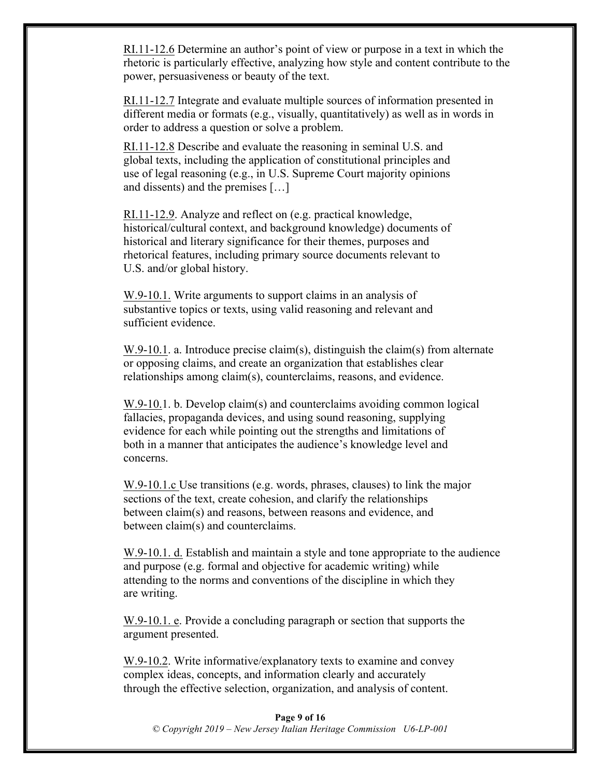RI.11-12.6 Determine an author's point of view or purpose in a text in which the rhetoric is particularly effective, analyzing how style and content contribute to the power, persuasiveness or beauty of the text.

RI.11-12.7 Integrate and evaluate multiple sources of information presented in different media or formats (e.g., visually, quantitatively) as well as in words in order to address a question or solve a problem.

RI.11-12.8 Describe and evaluate the reasoning in seminal U.S. and global texts, including the application of constitutional principles and use of legal reasoning (e.g., in U.S. Supreme Court majority opinions and dissents) and the premises […]

RI.11-12.9. Analyze and reflect on (e.g. practical knowledge, historical/cultural context, and background knowledge) documents of historical and literary significance for their themes, purposes and rhetorical features, including primary source documents relevant to U.S. and/or global history.

W.9-10.1. Write arguments to support claims in an analysis of substantive topics or texts, using valid reasoning and relevant and sufficient evidence.

W.9-10.1. a. Introduce precise claim(s), distinguish the claim(s) from alternate or opposing claims, and create an organization that establishes clear relationships among claim(s), counterclaims, reasons, and evidence.

W.9-10.1. b. Develop claim(s) and counterclaims avoiding common logical fallacies, propaganda devices, and using sound reasoning, supplying evidence for each while pointing out the strengths and limitations of both in a manner that anticipates the audience's knowledge level and concerns.

W.9-10.1.c Use transitions (e.g. words, phrases, clauses) to link the major sections of the text, create cohesion, and clarify the relationships between claim(s) and reasons, between reasons and evidence, and between claim(s) and counterclaims.

W.9-10.1. d. Establish and maintain a style and tone appropriate to the audience and purpose (e.g. formal and objective for academic writing) while attending to the norms and conventions of the discipline in which they are writing.

W.9-10.1. e. Provide a concluding paragraph or section that supports the argument presented.

W.9-10.2. Write informative/explanatory texts to examine and convey complex ideas, concepts, and information clearly and accurately through the effective selection, organization, and analysis of content.

**Page 9 of 16** *© Copyright 2019 – New Jersey Italian Heritage Commission U6-LP-001*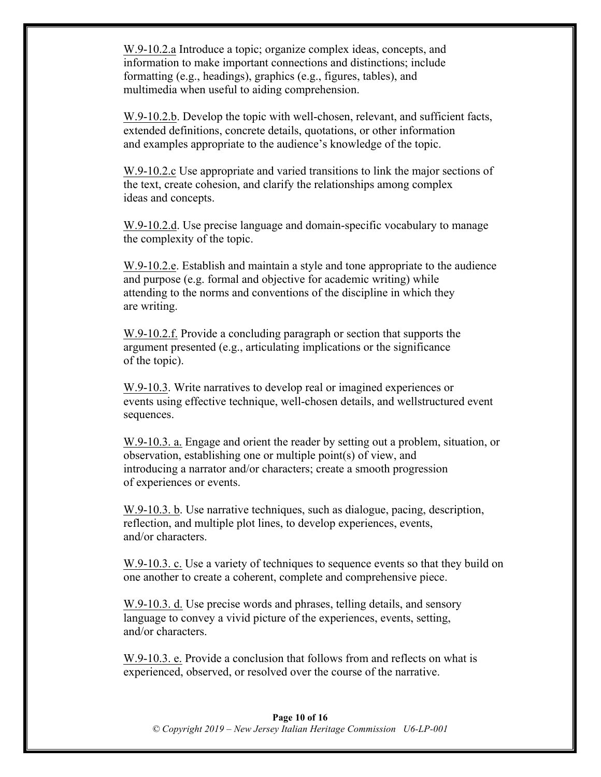W.9-10.2.a Introduce a topic; organize complex ideas, concepts, and information to make important connections and distinctions; include formatting (e.g., headings), graphics (e.g., figures, tables), and multimedia when useful to aiding comprehension.

W.9-10.2.b. Develop the topic with well-chosen, relevant, and sufficient facts, extended definitions, concrete details, quotations, or other information and examples appropriate to the audience's knowledge of the topic.

W.9-10.2.c Use appropriate and varied transitions to link the major sections of the text, create cohesion, and clarify the relationships among complex ideas and concepts.

W.9-10.2.d. Use precise language and domain-specific vocabulary to manage the complexity of the topic.

W.9-10.2.e. Establish and maintain a style and tone appropriate to the audience and purpose (e.g. formal and objective for academic writing) while attending to the norms and conventions of the discipline in which they are writing.

W.9-10.2.f. Provide a concluding paragraph or section that supports the argument presented (e.g., articulating implications or the significance of the topic).

W.9-10.3. Write narratives to develop real or imagined experiences or events using effective technique, well-chosen details, and wellstructured event sequences.

W.9-10.3. a. Engage and orient the reader by setting out a problem, situation, or observation, establishing one or multiple point(s) of view, and introducing a narrator and/or characters; create a smooth progression of experiences or events.

W.9-10.3. b. Use narrative techniques, such as dialogue, pacing, description, reflection, and multiple plot lines, to develop experiences, events, and/or characters.

W.9-10.3. c. Use a variety of techniques to sequence events so that they build on one another to create a coherent, complete and comprehensive piece.

W.9-10.3. d. Use precise words and phrases, telling details, and sensory language to convey a vivid picture of the experiences, events, setting, and/or characters.

W.9-10.3. e. Provide a conclusion that follows from and reflects on what is experienced, observed, or resolved over the course of the narrative.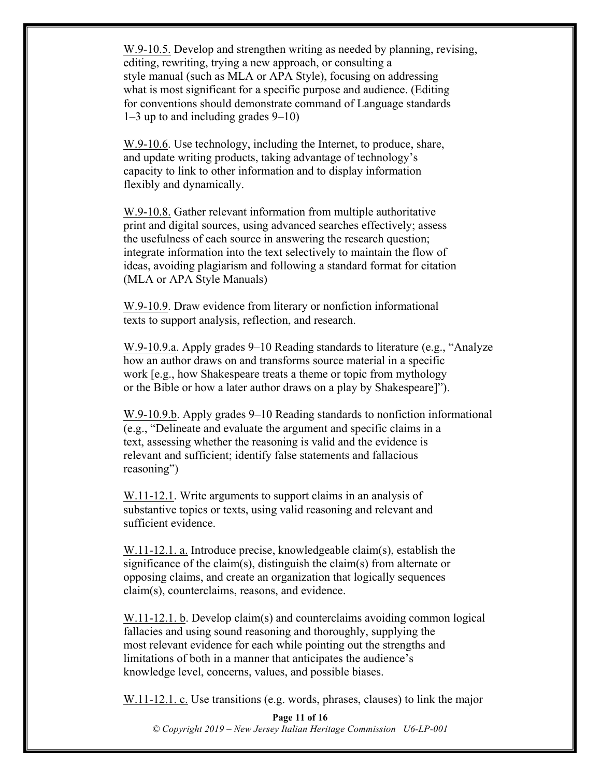W.9-10.5. Develop and strengthen writing as needed by planning, revising, editing, rewriting, trying a new approach, or consulting a style manual (such as MLA or APA Style), focusing on addressing what is most significant for a specific purpose and audience. (Editing for conventions should demonstrate command of Language standards 1–3 up to and including grades 9–10)

W.9-10.6. Use technology, including the Internet, to produce, share, and update writing products, taking advantage of technology's capacity to link to other information and to display information flexibly and dynamically.

W.9-10.8. Gather relevant information from multiple authoritative print and digital sources, using advanced searches effectively; assess the usefulness of each source in answering the research question; integrate information into the text selectively to maintain the flow of ideas, avoiding plagiarism and following a standard format for citation (MLA or APA Style Manuals)

W.9-10.9. Draw evidence from literary or nonfiction informational texts to support analysis, reflection, and research.

W.9-10.9.a. Apply grades 9–10 Reading standards to literature (e.g., "Analyze how an author draws on and transforms source material in a specific work [e.g., how Shakespeare treats a theme or topic from mythology or the Bible or how a later author draws on a play by Shakespeare]").

W.9-10.9.b. Apply grades 9–10 Reading standards to nonfiction informational (e.g., "Delineate and evaluate the argument and specific claims in a text, assessing whether the reasoning is valid and the evidence is relevant and sufficient; identify false statements and fallacious reasoning")

W.11-12.1. Write arguments to support claims in an analysis of substantive topics or texts, using valid reasoning and relevant and sufficient evidence.

W.11-12.1. a. Introduce precise, knowledgeable claim(s), establish the significance of the claim(s), distinguish the claim(s) from alternate or opposing claims, and create an organization that logically sequences claim(s), counterclaims, reasons, and evidence.

W.11-12.1. b. Develop claim(s) and counterclaims avoiding common logical fallacies and using sound reasoning and thoroughly, supplying the most relevant evidence for each while pointing out the strengths and limitations of both in a manner that anticipates the audience's knowledge level, concerns, values, and possible biases.

W.11-12.1. c. Use transitions (e.g. words, phrases, clauses) to link the major

**Page 11 of 16** *© Copyright 2019 – New Jersey Italian Heritage Commission U6-LP-001*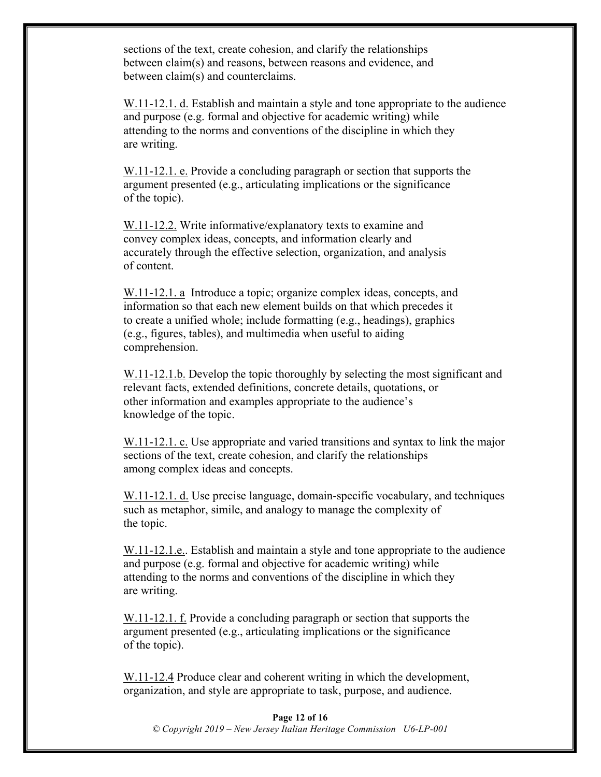sections of the text, create cohesion, and clarify the relationships between claim(s) and reasons, between reasons and evidence, and between claim(s) and counterclaims.

W.11-12.1. d. Establish and maintain a style and tone appropriate to the audience and purpose (e.g. formal and objective for academic writing) while attending to the norms and conventions of the discipline in which they are writing.

W.11-12.1. e. Provide a concluding paragraph or section that supports the argument presented (e.g., articulating implications or the significance of the topic).

W.11-12.2. Write informative/explanatory texts to examine and convey complex ideas, concepts, and information clearly and accurately through the effective selection, organization, and analysis of content.

W.11-12.1. a Introduce a topic; organize complex ideas, concepts, and information so that each new element builds on that which precedes it to create a unified whole; include formatting (e.g., headings), graphics (e.g., figures, tables), and multimedia when useful to aiding comprehension.

W.11-12.1.b. Develop the topic thoroughly by selecting the most significant and relevant facts, extended definitions, concrete details, quotations, or other information and examples appropriate to the audience's knowledge of the topic.

W.11-12.1. c. Use appropriate and varied transitions and syntax to link the major sections of the text, create cohesion, and clarify the relationships among complex ideas and concepts.

W.11-12.1. d. Use precise language, domain-specific vocabulary, and techniques such as metaphor, simile, and analogy to manage the complexity of the topic.

W.11-12.1.e.. Establish and maintain a style and tone appropriate to the audience and purpose (e.g. formal and objective for academic writing) while attending to the norms and conventions of the discipline in which they are writing.

W.11-12.1. f. Provide a concluding paragraph or section that supports the argument presented (e.g., articulating implications or the significance of the topic).

W.11-12.4 Produce clear and coherent writing in which the development, organization, and style are appropriate to task, purpose, and audience.

**Page 12 of 16** *© Copyright 2019 – New Jersey Italian Heritage Commission U6-LP-001*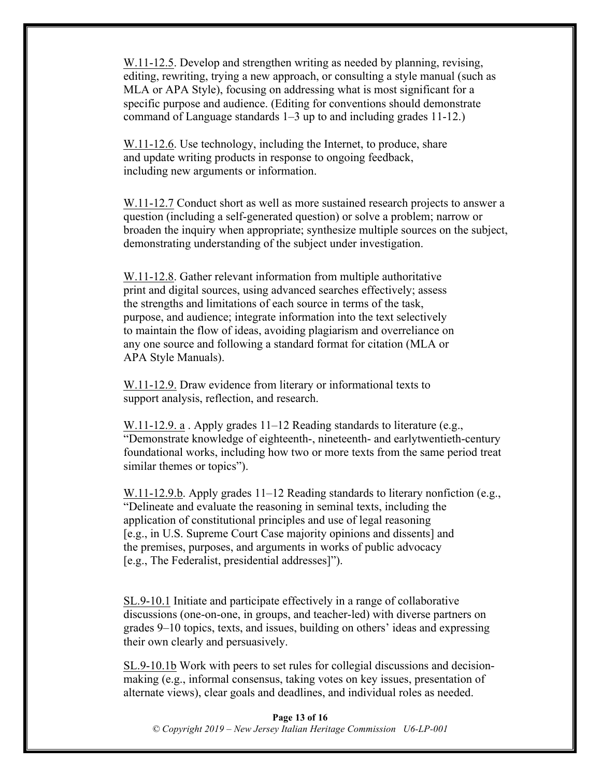W.11-12.5. Develop and strengthen writing as needed by planning, revising, editing, rewriting, trying a new approach, or consulting a style manual (such as MLA or APA Style), focusing on addressing what is most significant for a specific purpose and audience. (Editing for conventions should demonstrate command of Language standards 1–3 up to and including grades 11-12.)

W.11-12.6. Use technology, including the Internet, to produce, share and update writing products in response to ongoing feedback, including new arguments or information.

W.11-12.7 Conduct short as well as more sustained research projects to answer a question (including a self-generated question) or solve a problem; narrow or broaden the inquiry when appropriate; synthesize multiple sources on the subject, demonstrating understanding of the subject under investigation.

W.11-12.8. Gather relevant information from multiple authoritative print and digital sources, using advanced searches effectively; assess the strengths and limitations of each source in terms of the task, purpose, and audience; integrate information into the text selectively to maintain the flow of ideas, avoiding plagiarism and overreliance on any one source and following a standard format for citation (MLA or APA Style Manuals).

W.11-12.9. Draw evidence from literary or informational texts to support analysis, reflection, and research.

W.11-12.9. a . Apply grades 11–12 Reading standards to literature (e.g., "Demonstrate knowledge of eighteenth-, nineteenth- and earlytwentieth-century foundational works, including how two or more texts from the same period treat similar themes or topics").

W.11-12.9.b. Apply grades 11–12 Reading standards to literary nonfiction (e.g., "Delineate and evaluate the reasoning in seminal texts, including the application of constitutional principles and use of legal reasoning [e.g., in U.S. Supreme Court Case majority opinions and dissents] and the premises, purposes, and arguments in works of public advocacy [e.g., The Federalist, presidential addresses]").

SL.9-10.1 Initiate and participate effectively in a range of collaborative discussions (one-on-one, in groups, and teacher-led) with diverse partners on grades 9–10 topics, texts, and issues, building on others' ideas and expressing their own clearly and persuasively.

SL.9-10.1b Work with peers to set rules for collegial discussions and decisionmaking (e.g., informal consensus, taking votes on key issues, presentation of alternate views), clear goals and deadlines, and individual roles as needed.

**Page 13 of 16** *© Copyright 2019 – New Jersey Italian Heritage Commission U6-LP-001*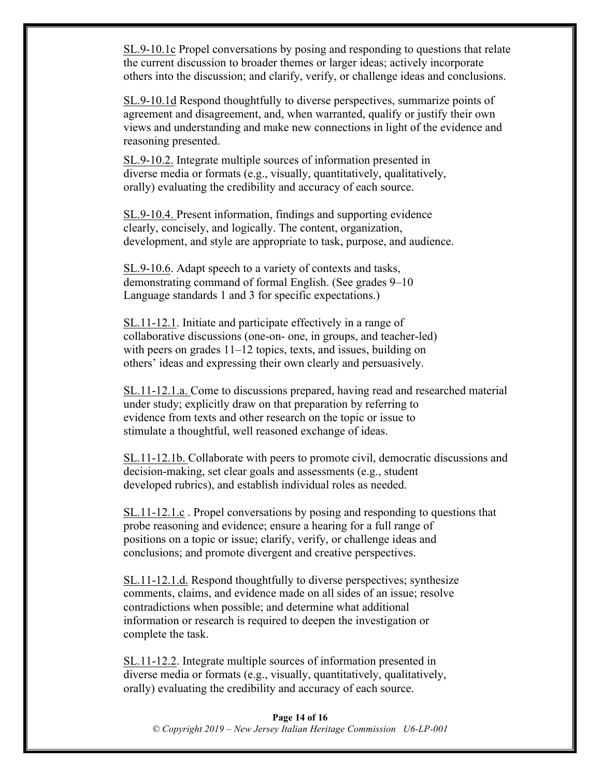SL.9-10.1c Propel conversations by posing and responding to questions that relate the current discussion to broader themes or larger ideas; actively incorporate others into the discussion; and clarify, verify, or challenge ideas and conclusions.

SL.9-10.1d Respond thoughtfully to diverse perspectives, summarize points of agreement and disagreement, and, when warranted, qualify or justify their own views and understanding and make new connections in light of the evidence and reasoning presented.

SL.9-10.2. Integrate multiple sources of information presented in diverse media or formats (e.g., visually, quantitatively, qualitatively, orally) evaluating the credibility and accuracy of each source.

SL.9-10.4. Present information, findings and supporting evidence clearly, concisely, and logically. The content, organization, development, and style are appropriate to task, purpose, and audience.

SL.9-10.6. Adapt speech to a variety of contexts and tasks, demonstrating command of formal English. (See grades 9–10 Language standards 1 and 3 for specific expectations.)

SL.11-12.1. Initiate and participate effectively in a range of collaborative discussions (one-on- one, in groups, and teacher-led) with peers on grades 11–12 topics, texts, and issues, building on others' ideas and expressing their own clearly and persuasively.

SL.11-12.1.a. Come to discussions prepared, having read and researched material under study; explicitly draw on that preparation by referring to evidence from texts and other research on the topic or issue to stimulate a thoughtful, well reasoned exchange of ideas.

SL.11-12.1b. Collaborate with peers to promote civil, democratic discussions and decision-making, set clear goals and assessments (e.g., student developed rubrics), and establish individual roles as needed.

SL.11-12.1.c . Propel conversations by posing and responding to questions that probe reasoning and evidence; ensure a hearing for a full range of positions on a topic or issue; clarify, verify, or challenge ideas and conclusions; and promote divergent and creative perspectives.

SL.11-12.1.d. Respond thoughtfully to diverse perspectives; synthesize comments, claims, and evidence made on all sides of an issue; resolve contradictions when possible; and determine what additional information or research is required to deepen the investigation or complete the task.

SL.11-12.2. Integrate multiple sources of information presented in diverse media or formats (e.g., visually, quantitatively, qualitatively, orally) evaluating the credibility and accuracy of each source.

**Page 14 of 16** *© Copyright 2019 – New Jersey Italian Heritage Commission U6-LP-001*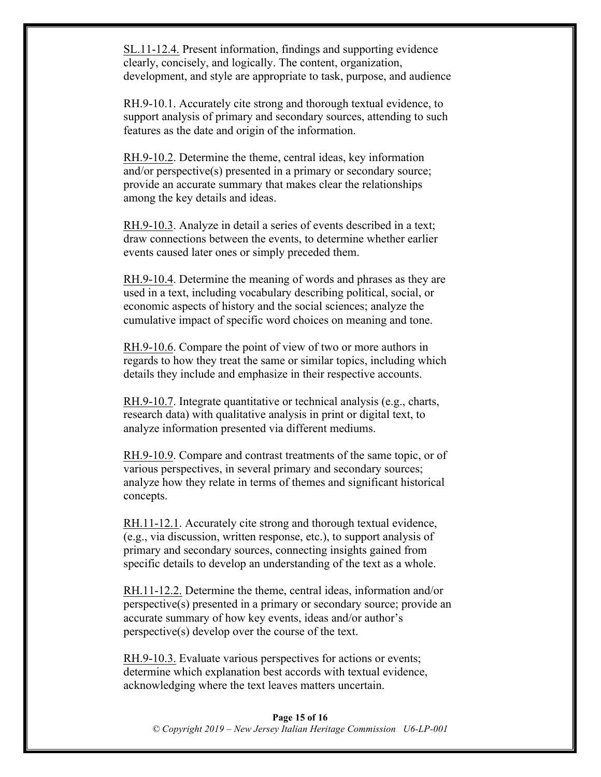SL.11-12.4. Present information, findings and supporting evidence clearly, concisely, and logically. The content, organization, development, and style are appropriate to task, purpose, and audience

RH.9-10.1. Accurately cite strong and thorough textual evidence, to support analysis of primary and secondary sources, attending to such features as the date and origin of the information.

RH.9-10.2. Determine the theme, central ideas, key information and/or perspective(s) presented in a primary or secondary source; provide an accurate summary that makes clear the relationships among the key details and ideas.

RH.9-10.3. Analyze in detail a series of events described in a text; draw connections between the events, to determine whether earlier events caused later ones or simply preceded them.

RH.9-10.4. Determine the meaning of words and phrases as they are used in a text, including vocabulary describing political, social, or economic aspects of history and the social sciences; analyze the cumulative impact of specific word choices on meaning and tone.

RH.9-10.6. Compare the point of view of two or more authors in regards to how they treat the same or similar topics, including which details they include and emphasize in their respective accounts.

RH.9-10.7. Integrate quantitative or technical analysis (e.g., charts, research data) with qualitative analysis in print or digital text, to analyze information presented via different mediums.

RH.9-10.9. Compare and contrast treatments of the same topic, or of various perspectives, in several primary and secondary sources; analyze how they relate in terms of themes and significant historical concepts.

RH.11-12.1. Accurately cite strong and thorough textual evidence, (e.g., via discussion, written response, etc.), to support analysis of primary and secondary sources, connecting insights gained from specific details to develop an understanding of the text as a whole.

RH.11-12.2. Determine the theme, central ideas, information and/or perspective(s) presented in a primary or secondary source; provide an accurate summary of how key events, ideas and/or author's perspective(s) develop over the course of the text.

RH.9-10.3. Evaluate various perspectives for actions or events; determine which explanation best accords with textual evidence, acknowledging where the text leaves matters uncertain.

#### **Page 15 of 16** *© Copyright 2019 – New Jersey Italian Heritage Commission U6-LP-001*